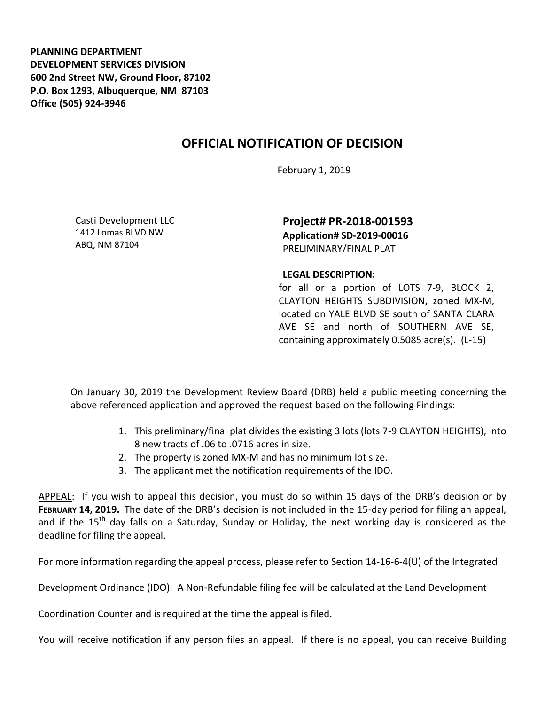**PLANNING DEPARTMENT DEVELOPMENT SERVICES DIVISION 600 2nd Street NW, Ground Floor, 87102 P.O. Box 1293, Albuquerque, NM 87103 Office (505) 924-3946** 

## **OFFICIAL NOTIFICATION OF DECISION**

February 1, 2019

Casti Development LLC 1412 Lomas BLVD NW ABQ, NM 87104

**Project# PR-2018-001593 Application# SD-2019-00016** PRELIMINARY/FINAL PLAT

## **LEGAL DESCRIPTION:**

for all or a portion of LOTS 7-9, BLOCK 2, CLAYTON HEIGHTS SUBDIVISION**,** zoned MX-M, located on YALE BLVD SE south of SANTA CLARA AVE SE and north of SOUTHERN AVE SE, containing approximately 0.5085 acre(s). (L-15)

On January 30, 2019 the Development Review Board (DRB) held a public meeting concerning the above referenced application and approved the request based on the following Findings:

- 1. This preliminary/final plat divides the existing 3 lots (lots 7-9 CLAYTON HEIGHTS), into 8 new tracts of .06 to .0716 acres in size.
- 2. The property is zoned MX-M and has no minimum lot size.
- 3. The applicant met the notification requirements of the IDO.

APPEAL: If you wish to appeal this decision, you must do so within 15 days of the DRB's decision or by **FEBRUARY 14, 2019.** The date of the DRB's decision is not included in the 15-day period for filing an appeal, and if the  $15<sup>th</sup>$  day falls on a Saturday, Sunday or Holiday, the next working day is considered as the deadline for filing the appeal.

For more information regarding the appeal process, please refer to Section 14-16-6-4(U) of the Integrated

Development Ordinance (IDO). A Non-Refundable filing fee will be calculated at the Land Development

Coordination Counter and is required at the time the appeal is filed.

You will receive notification if any person files an appeal. If there is no appeal, you can receive Building